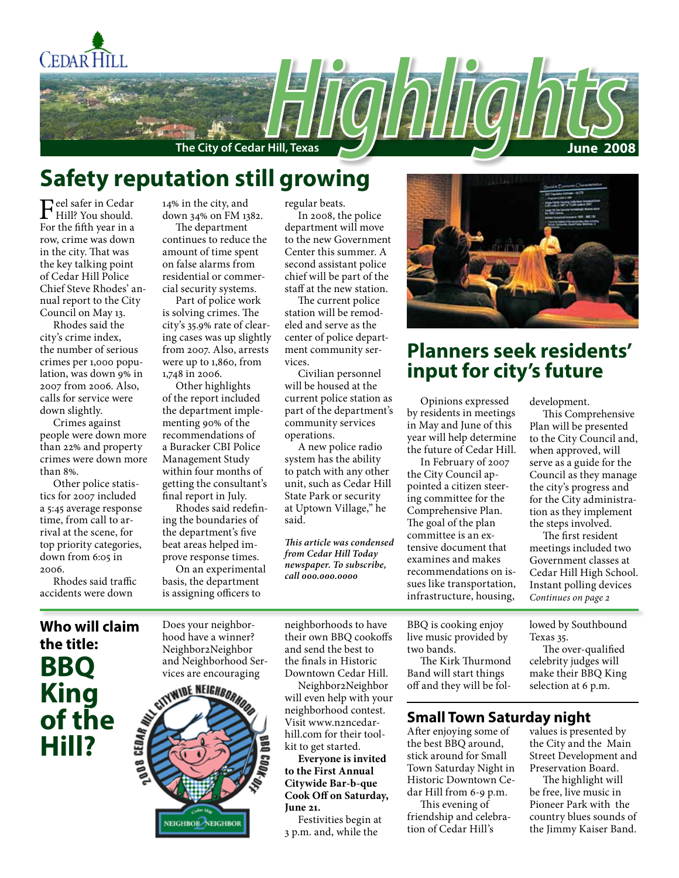

# **Safety reputation still growing**

Feel safer in Cedar<br>Fee the fifth manifold. For the fifth year in a row, crime was down in the city. That was the key talking point of Cedar Hill Police Chief Steve Rhodes' annual report to the City Council on May 13.

Rhodes said the city's crime index, the number of serious crimes per 1,000 population, was down 9% in 2007 from 2006. Also, calls for service were down slightly.

Crimes against people were down more than 22% and property crimes were down more than 8%.

Other police statistics for 2007 included a 5:45 average response time, from call to arrival at the scene, for top priority categories, down from 6:05 in 2006.

Rhodes said traffic accidents were down

14% in the city, and down 34% on FM 1382.

The department continues to reduce the amount of time spent on false alarms from residential or commercial security systems.

Part of police work is solving crimes. The city's 35.9% rate of clearing cases was up slightly from 2007. Also, arrests were up to 1,860, from 1,748 in 2006.

Other highlights of the report included the department implementing 90% of the recommendations of a Buracker CBI Police Management Study within four months of getting the consultant's final report in July.

Rhodes said redefining the boundaries of the department's five beat areas helped improve response times.

On an experimental basis, the department is assigning officers to

regular beats.

In 2008, the police department will move to the new Government Center this summer. A second assistant police chief will be part of the staff at the new station.

The current police station will be remodeled and serve as the center of police department community services.

Civilian personnel will be housed at the current police station as part of the department's community services operations.

A new police radio system has the ability to patch with any other unit, such as Cedar Hill State Park or security at Uptown Village," he said.

*This article was condensed from Cedar Hill Today newspaper. To subscribe, call 000.000.0000*



# **Planners seek residents' input for city's future**

Opinions expressed by residents in meetings in May and June of this year will help determine the future of Cedar Hill.

In February of 2007 the City Council appointed a citizen steering committee for the Comprehensive Plan. The goal of the plan committee is an extensive document that examines and makes recommendations on issues like transportation, infrastructure, housing, development.

This Comprehensive Plan will be presented to the City Council and, when approved, will serve as a guide for the Council as they manage the city's progress and for the City administration as they implement the steps involved.

*Continues on page 2* The first resident meetings included two Government classes at Cedar Hill High School. Instant polling devices

# **Who will claim the title: BBQ King of the Hill?**

Does your neighborhood have a winner? Neighbor2Neighbor and Neighborhood Services are encouraging



neighborhoods to have their own BBQ cookoffs and send the best to the finals in Historic Downtown Cedar Hill.

Neighbor2Neighbor will even help with your neighborhood contest. Visit www.n2ncedarhill.com for their toolkit to get started.

**Everyone is invited to the First Annual Citywide Bar-b-que Cook Off on Saturday, June 21.**

Festivities begin at 3 p.m. and, while the

BBQ is cooking enjoy live music provided by two bands.

The Kirk Thurmond Band will start things off and they will be fol-

### **Small Town Saturday night**

After enjoying some of the best BBQ around, stick around for Small Town Saturday Night in Historic Downtown Cedar Hill from 6-9 p.m.

This evening of friendship and celebration of Cedar Hill's

lowed by Southbound Texas 35.

The over-qualified celebrity judges will make their BBQ King selection at 6 p.m.

values is presented by the City and the Main Street Development and Preservation Board.

The highlight will be free, live music in Pioneer Park with the country blues sounds of the Jimmy Kaiser Band.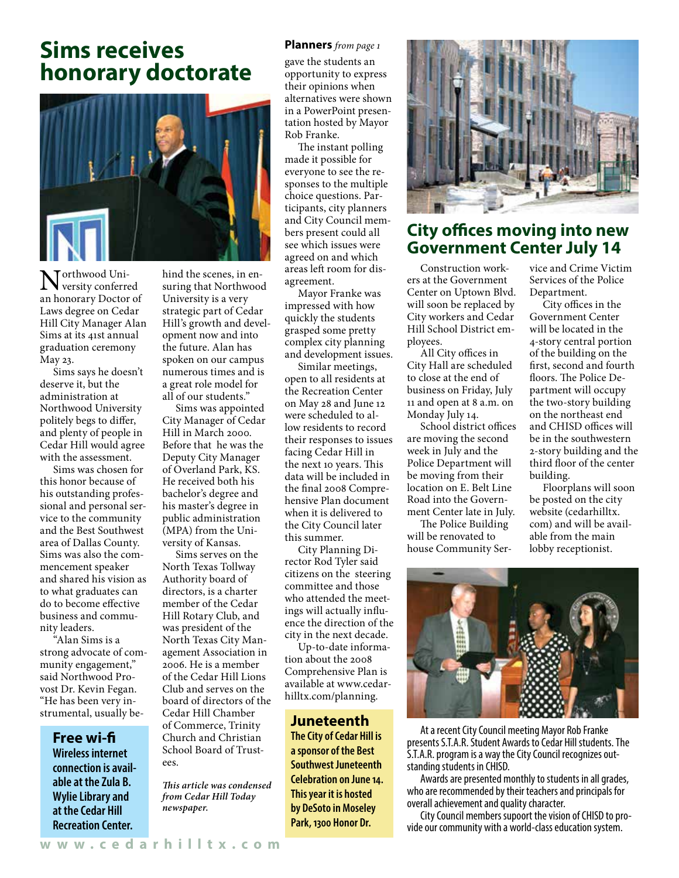# **Sims receives honorary doctorate**



Northwood Uni-versity conferred an honorary Doctor of Laws degree on Cedar Hill City Manager Alan Sims at its 41st annual graduation ceremony May 23.

Sims says he doesn't deserve it, but the administration at Northwood University politely begs to differ, and plenty of people in Cedar Hill would agree with the assessment.

Sims was chosen for this honor because of his outstanding professional and personal service to the community and the Best Southwest area of Dallas County. Sims was also the commencement speaker and shared his vision as to what graduates can do to become effective business and community leaders.

.<br>"Alan Sims is a strong advocate of community engagement," said Northwood Provost Dr. Kevin Fegan. "He has been very instrumental, usually be-

> **Free wi-fi Wireless internet connection is available at the Zula B. Wylie Library and at the Cedar Hill Recreation Center.**

hind the scenes, in ensuring that Northwood University is a very strategic part of Cedar Hill's growth and development now and into the future. Alan has spoken on our campus numerous times and is a great role model for all of our students."

Sims was appointed City Manager of Cedar Hill in March 2000. Before that he was the Deputy City Manager of Overland Park, KS. He received both his bachelor's degree and his master's degree in public administration (MPA) from the University of Kansas.

Sims serves on the North Texas Tollway Authority board of directors, is a charter member of the Cedar Hill Rotary Club, and was president of the North Texas City Management Association in 2006. He is a member of the Cedar Hill Lions Club and serves on the board of directors of the Cedar Hill Chamber of Commerce, Trinity Church and Christian School Board of Trustees.

*This article was condensed from Cedar Hill Today newspaper.* 

#### **Planners** *from page 1*

gave the students an opportunity to express their opinions when alternatives were shown in a PowerPoint presentation hosted by Mayor Rob Franke.

The instant polling made it possible for everyone to see the responses to the multiple choice questions. Participants, city planners and City Council members present could all see which issues were agreed on and which areas left room for disagreement.

Mayor Franke was impressed with how quickly the students grasped some pretty complex city planning and development issues.

Similar meetings, open to all residents at the Recreation Center on May 28 and June 12 were scheduled to allow residents to record their responses to issues facing Cedar Hill in the next 10 years. This data will be included in the final 2008 Comprehensive Plan document when it is delivered to the City Council later this summer.

City Planning Director Rod Tyler said citizens on the steering committee and those who attended the meetings will actually influence the direction of the city in the next decade.

Up-to-date information about the 2008 Comprehensive Plan is available at www.cedarhilltx.com/planning.

#### **Juneteenth**

**The City of Cedar Hill is a sponsor of the Best Southwest Juneteenth Celebration on June 14. This year it is hosted by DeSoto in Moseley Park, 1300 Honor Dr.**



## **City offices moving into new Government Center July 14**

Construction workers at the Government Center on Uptown Blvd. will soon be replaced by City workers and Cedar Hill School District employees.

All City offices in City Hall are scheduled to close at the end of business on Friday, July 11 and open at 8 a.m. on Monday July 14.

School district offices are moving the second week in July and the Police Department will be moving from their location on E. Belt Line Road into the Government Center late in July.

The Police Building will be renovated to house Community Service and Crime Victim Services of the Police Department.

City offices in the Government Center will be located in the 4-story central portion of the building on the first, second and fourth floors. The Police Department will occupy the two-story building on the northeast end and CHISD offices will be in the southwestern 2-story building and the third floor of the center building.

Floorplans will soon be posted on the city website (cedarhilltx. com) and will be available from the main lobby receptionist.



At a recent City Council meeting Mayor Rob Franke presents S.T.A.R. Student Awards to Cedar Hill students. The S.T.A.R. program is a way the City Council recognizes outstanding students in CHISD.

Awards are presented monthly to students in all grades, who are recommended by their teachers and principals for overall achievement and quality character.

City Council members supoort the vision of CHISD to pro- vide our community with a world-class education system.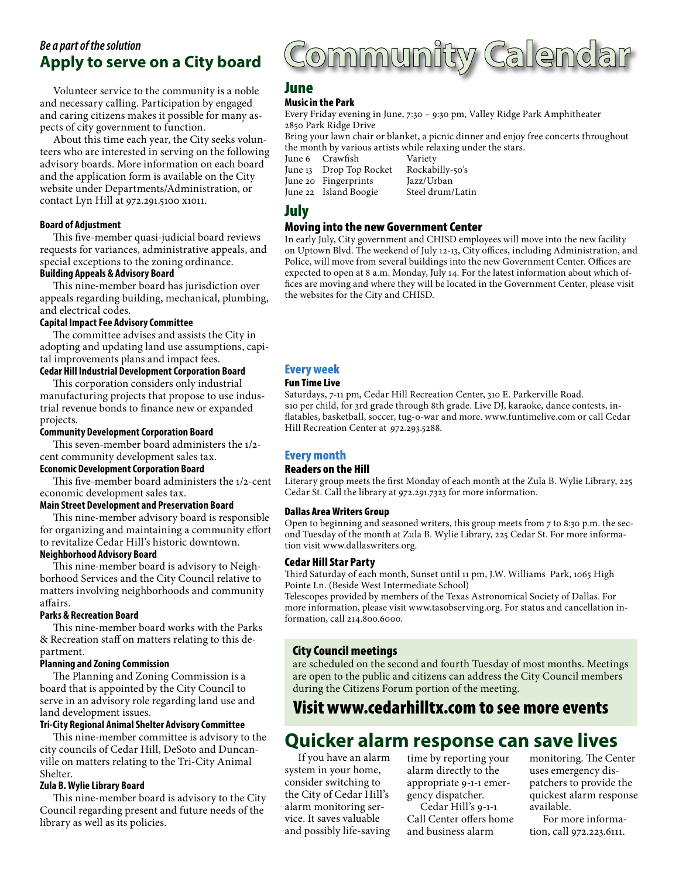## **Apply to serve on a City board** *Be a part of the solution*

Volunteer service to the community is a noble and necessary calling. Participation by engaged and caring citizens makes it possible for many aspects of city government to function.

About this time each year, the City seeks volunteers who are interested in serving on the following advisory boards. More information on each board and the application form is available on the City website under Departments/Administration, or contact Lyn Hill at 972.291.5100 x1011.

#### **Board of Adjustment**

This five-member quasi-judicial board reviews requests for variances, administrative appeals, and special exceptions to the zoning ordinance.

#### **Building Appeals & Advisory Board**

This nine-member board has jurisdiction over appeals regarding building, mechanical, plumbing, and electrical codes.

#### **Capital Impact Fee Advisory Committee**

The committee advises and assists the City in adopting and updating land use assumptions, capital improvements plans and impact fees.

#### **Cedar Hill Industrial Development Corporation Board**

This corporation considers only industrial manufacturing projects that propose to use industrial revenue bonds to finance new or expanded projects.

#### **Community Development Corporation Board**

This seven-member board administers the 1/2 cent community development sales tax.

#### **Economic Development Corporation Board**

This five-member board administers the 1/2-cent economic development sales tax.

#### **Main Street Development and Preservation Board**

This nine-member advisory board is responsible for organizing and maintaining a community effort to revitalize Cedar Hill's historic downtown.

#### **Neighborhood Advisory Board**

This nine-member board is advisory to Neighborhood Services and the City Council relative to matters involving neighborhoods and community affairs.

#### **Parks & Recreation Board**

This nine-member board works with the Parks & Recreation staff on matters relating to this department.

#### **Planning and Zoning Commission**

The Planning and Zoning Commission is a board that is appointed by the City Council to serve in an advisory role regarding land use and land development issues.

#### **Tri-City Regional Animal Shelter Advisory Committee**

This nine-member committee is advisory to the city councils of Cedar Hill, DeSoto and Duncanville on matters relating to the Tri-City Animal Shelter.

#### **Zula B. Wylie Library Board**

This nine-member board is advisory to the City Council regarding present and future needs of the library as well as its policies.

# <u>ommunity Calendar</u>

#### June

#### Music in the Park

Every Friday evening in June, 7:30 – 9:30 pm, Valley Ridge Park Amphitheater 2850 Park Ridge Drive

Bring your lawn chair or blanket, a picnic dinner and enjoy free concerts throughout the month by various artists while relaxing under the stars.<br>June 6 Crawfish Variety

June 6 Crawfish Variety<br>June 13 Drop Top Rocket Rockabilly-50's June 13 Drop Top Rocket Rockabilly-<br>June 20 Fingerprints Jazz/Urban June 20 Fingerprints

June 22 Island Boogie Steel drum/Latin

## July

#### Moving into the new Government Center

In early July, City government and CHISD employees will move into the new facility on Uptown Blvd. The weekend of July 12-13, City offices, including Administration, and Police, will move from several buildings into the new Government Center. Offices are expected to open at 8 a.m. Monday, July 14. For the latest information about which offices are moving and where they will be located in the Government Center, please visit the websites for the City and CHISD.

#### Every week

#### Fun Time Live

Saturdays, 7-11 pm, Cedar Hill Recreation Center, 310 E. Parkerville Road. \$10 per child, for 3rd grade through 8th grade. Live DJ, karaoke, dance contests, inflatables, basketball, soccer, tug-o-war and more. www.funtimelive.com or call Cedar Hill Recreation Center at 972.293.5288.

#### Every month

#### Readers on the Hill

Literary group meets the first Monday of each month at the Zula B. Wylie Library, 225 Cedar St. Call the library at 972.291.7323 for more information.

#### Dallas Area Writers Group

Open to beginning and seasoned writers, this group meets from 7 to 8:30 p.m. the second Tuesday of the month at Zula B. Wylie Library, 225 Cedar St. For more information visit www.dallaswriters.org.

#### Cedar Hill Star Party

Third Saturday of each month, Sunset until 11 pm, J.W. Williams Park, 1065 High Pointe Ln. (Beside West Intermediate School)

Telescopes provided by members of the Texas Astronomical Society of Dallas. For more information, please visit www.tasobserving.org. For status and cancellation information, call 214.800.6000.

#### City Council meetings

are scheduled on the second and fourth Tuesday of most months. Meetings are open to the public and citizens can address the City Council members during the Citizens Forum portion of the meeting.

## Visit www.cedarhilltx.com to see more events

## **Quicker alarm response can save lives**

If you have an alarm system in your home, consider switching to the City of Cedar Hill's alarm monitoring service. It saves valuable and possibly life-saving time by reporting your alarm directly to the appropriate 9-1-1 emergency dispatcher.

Cedar Hill's 9-1-1 Call Center offers home and business alarm

monitoring. The Center uses emergency dispatchers to provide the quickest alarm response available.

For more information, call 972.223.6111.